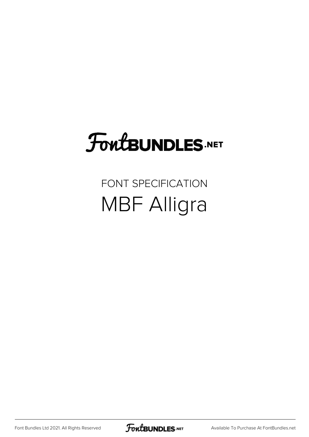# **FoutBUNDLES.NET**

#### FONT SPECIFICATION MBF Alligra

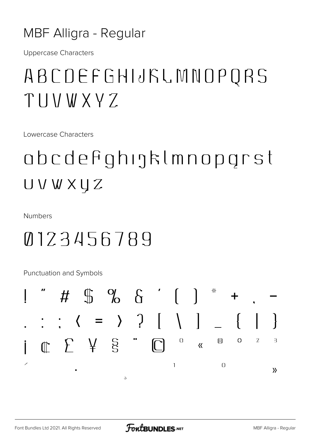#### **MBF Alligra - Regular**

**Uppercase Characters** 

#### ABCDEFGHIJKLMNOPQRS TIIVWXYZ

Lowercase Characters

### obcdefighigklmnopgrst UVWXUZ

**Numbers** 

#### 0123456789

Punctuation and Symbols

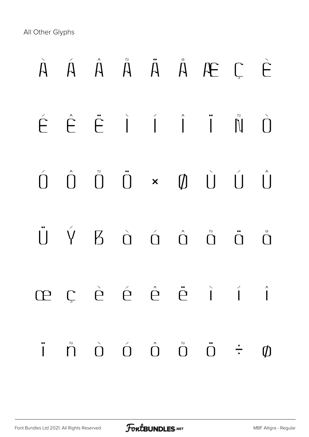All Other Glyphs

# À Á Â Ã Ä Å Æ Ç È É Ê Ë Ì Í Î Ï Ñ Ò  $\hat{D}$   $\hat{D}$   $\hat{D}$   $\times$   $\hat{D}$   $\hat{U}$   $\hat{U}$   $\hat{U}$ Ü Ý ß à á â ã ä å æ ç è é ê ë ì í î ï ñ ò ó ô õ ö ÷ ø